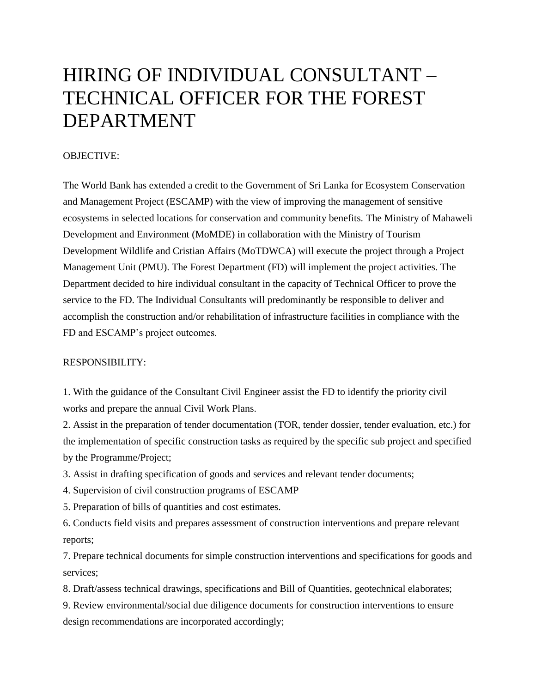## HIRING OF INDIVIDUAL CONSULTANT – TECHNICAL OFFICER FOR THE FOREST DEPARTMENT

## OBJECTIVE:

The World Bank has extended a credit to the Government of Sri Lanka for Ecosystem Conservation and Management Project (ESCAMP) with the view of improving the management of sensitive ecosystems in selected locations for conservation and community benefits. The Ministry of Mahaweli Development and Environment (MoMDE) in collaboration with the Ministry of Tourism Development Wildlife and Cristian Affairs (MoTDWCA) will execute the project through a Project Management Unit (PMU). The Forest Department (FD) will implement the project activities. The Department decided to hire individual consultant in the capacity of Technical Officer to prove the service to the FD. The Individual Consultants will predominantly be responsible to deliver and accomplish the construction and/or rehabilitation of infrastructure facilities in compliance with the FD and ESCAMP's project outcomes.

## RESPONSIBILITY:

1. With the guidance of the Consultant Civil Engineer assist the FD to identify the priority civil works and prepare the annual Civil Work Plans.

2. Assist in the preparation of tender documentation (TOR, tender dossier, tender evaluation, etc.) for the implementation of specific construction tasks as required by the specific sub project and specified by the Programme/Project;

3. Assist in drafting specification of goods and services and relevant tender documents;

4. Supervision of civil construction programs of ESCAMP

5. Preparation of bills of quantities and cost estimates.

6. Conducts field visits and prepares assessment of construction interventions and prepare relevant reports;

7. Prepare technical documents for simple construction interventions and specifications for goods and services;

8. Draft/assess technical drawings, specifications and Bill of Quantities, geotechnical elaborates;

9. Review environmental/social due diligence documents for construction interventions to ensure design recommendations are incorporated accordingly;